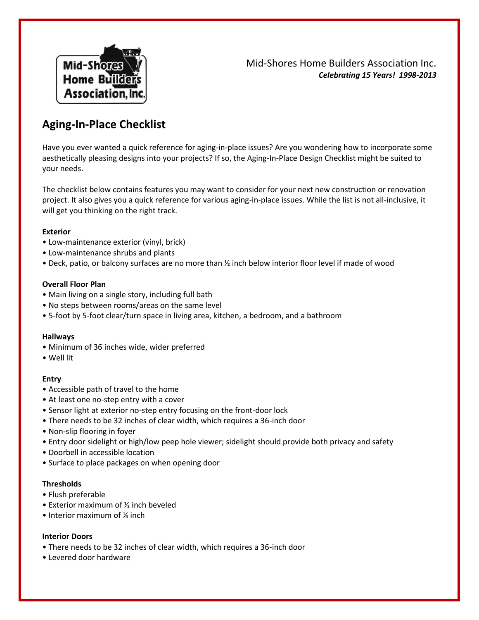

Mid-Shores Home Builders Association Inc. *Celebrating 15 Years! 1998-2013*

# **Aging-In-Place Checklist**

Have you ever wanted a quick reference for aging-in-place issues? Are you wondering how to incorporate some aesthetically pleasing designs into your projects? If so, the Aging-In-Place Design Checklist might be suited to your needs.

The checklist below contains features you may want to consider for your next new construction or renovation project. It also gives you a quick reference for various aging-in-place issues. While the list is not all-inclusive, it will get you thinking on the right track.

# **Exterior**

- Low-maintenance exterior (vinyl, brick)
- Low-maintenance shrubs and plants
- Deck, patio, or balcony surfaces are no more than ½ inch below interior floor level if made of wood

# **Overall Floor Plan**

- Main living on a single story, including full bath
- No steps between rooms/areas on the same level
- 5-foot by 5-foot clear/turn space in living area, kitchen, a bedroom, and a bathroom

# **Hallways**

- Minimum of 36 inches wide, wider preferred
- Well lit

# **Entry**

- Accessible path of travel to the home
- At least one no-step entry with a cover
- Sensor light at exterior no-step entry focusing on the front-door lock
- There needs to be 32 inches of clear width, which requires a 36-inch door
- Non-slip flooring in foyer
- Entry door sidelight or high/low peep hole viewer; sidelight should provide both privacy and safety
- Doorbell in accessible location
- Surface to place packages on when opening door

# **Thresholds**

- Flush preferable
- Exterior maximum of ½ inch beveled
- Interior maximum of  $\frac{1}{4}$  inch

# **Interior Doors**

- There needs to be 32 inches of clear width, which requires a 36-inch door
- Levered door hardware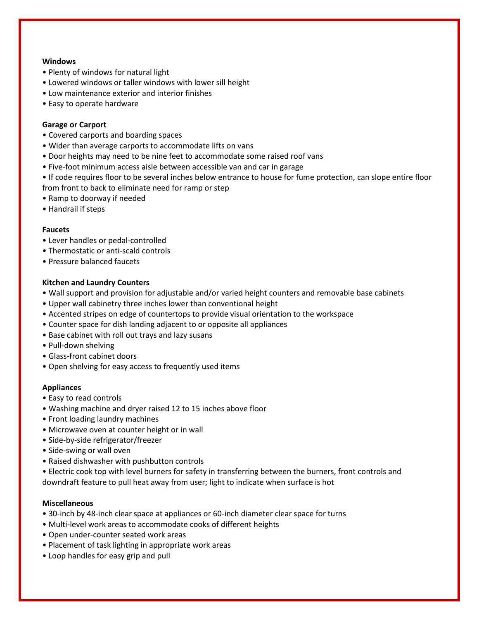## **Windows**

- Plenty of windows for natural light
- Lowered windows or taller windows with lower sill height
- Low maintenance exterior and interior finishes
- Easy to operate hardware

## **Garage or Carport**

- Covered carports and boarding spaces
- Wider than average carports to accommodate lifts on vans
- Door heights may need to be nine feet to accommodate some raised roof vans
- Five-foot minimum access aisle between accessible van and car in garage
- If code requires floor to be several inches below entrance to house for fume protection, can slope entire floor from front to back to eliminate need for ramp or step
- Ramp to doorway if needed
- Handrail if steps

### **Faucets**

- Lever handles or pedal-controlled
- Thermostatic or anti-scald controls
- Pressure balanced faucets

### **Kitchen and Laundry Counters**

- Wall support and provision for adjustable and/or varied height counters and removable base cabinets
- Upper wall cabinetry three inches lower than conventional height
- Accented stripes on edge of countertops to provide visual orientation to the workspace
- Counter space for dish landing adjacent to or opposite all appliances
- Base cabinet with roll out trays and lazy susans
- Pull-down shelving
- Glass-front cabinet doors
- Open shelving for easy access to frequently used items

# **Appliances**

- Easy to read controls
- Washing machine and dryer raised 12 to 15 inches above floor
- Front loading laundry machines
- Microwave oven at counter height or in wall
- Side-by-side refrigerator/freezer
- Side-swing or wall oven
- Raised dishwasher with pushbutton controls
- Electric cook top with level burners for safety in transferring between the burners, front controls and downdraft feature to pull heat away from user; light to indicate when surface is hot

# **Miscellaneous**

- 30-inch by 48-inch clear space at appliances or 60-inch diameter clear space for turns
- Multi-level work areas to accommodate cooks of different heights
- Open under-counter seated work areas
- Placement of task lighting in appropriate work areas
- Loop handles for easy grip and pull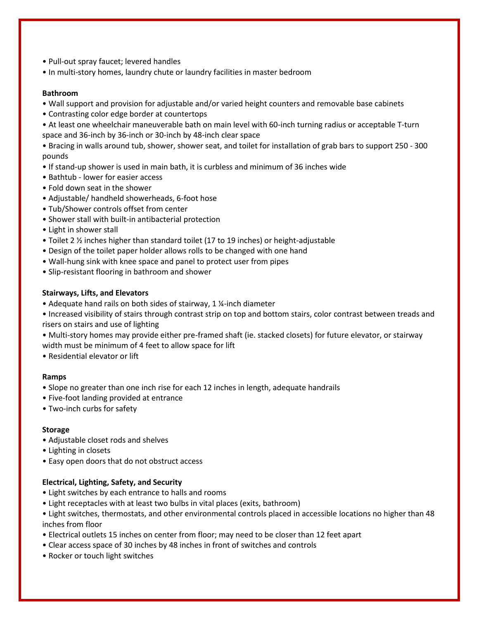- Pull-out spray faucet; levered handles
- In multi-story homes, laundry chute or laundry facilities in master bedroom

#### **Bathroom**

- Wall support and provision for adjustable and/or varied height counters and removable base cabinets
- Contrasting color edge border at countertops
- At least one wheelchair maneuverable bath on main level with 60-inch turning radius or acceptable T-turn space and 36-inch by 36-inch or 30-inch by 48-inch clear space

• Bracing in walls around tub, shower, shower seat, and toilet for installation of grab bars to support 250 - 300 pounds

- If stand-up shower is used in main bath, it is curbless and minimum of 36 inches wide
- Bathtub lower for easier access
- Fold down seat in the shower
- Adjustable/ handheld showerheads, 6-foot hose
- Tub/Shower controls offset from center
- Shower stall with built-in antibacterial protection
- Light in shower stall
- Toilet 2 ½ inches higher than standard toilet (17 to 19 inches) or height-adjustable
- Design of the toilet paper holder allows rolls to be changed with one hand
- Wall-hung sink with knee space and panel to protect user from pipes
- Slip-resistant flooring in bathroom and shower

#### **Stairways, Lifts, and Elevators**

- Adequate hand rails on both sides of stairway, 1 ¼-inch diameter
- Increased visibility of stairs through contrast strip on top and bottom stairs, color contrast between treads and risers on stairs and use of lighting
- Multi-story homes may provide either pre-framed shaft (ie. stacked closets) for future elevator, or stairway width must be minimum of 4 feet to allow space for lift
- Residential elevator or lift

#### **Ramps**

- Slope no greater than one inch rise for each 12 inches in length, adequate handrails
- Five-foot landing provided at entrance
- Two-inch curbs for safety

#### **Storage**

- Adjustable closet rods and shelves
- Lighting in closets
- Easy open doors that do not obstruct access

# **Electrical, Lighting, Safety, and Security**

- Light switches by each entrance to halls and rooms
- Light receptacles with at least two bulbs in vital places (exits, bathroom)
- Light switches, thermostats, and other environmental controls placed in accessible locations no higher than 48 inches from floor
- Electrical outlets 15 inches on center from floor; may need to be closer than 12 feet apart
- Clear access space of 30 inches by 48 inches in front of switches and controls
- Rocker or touch light switches